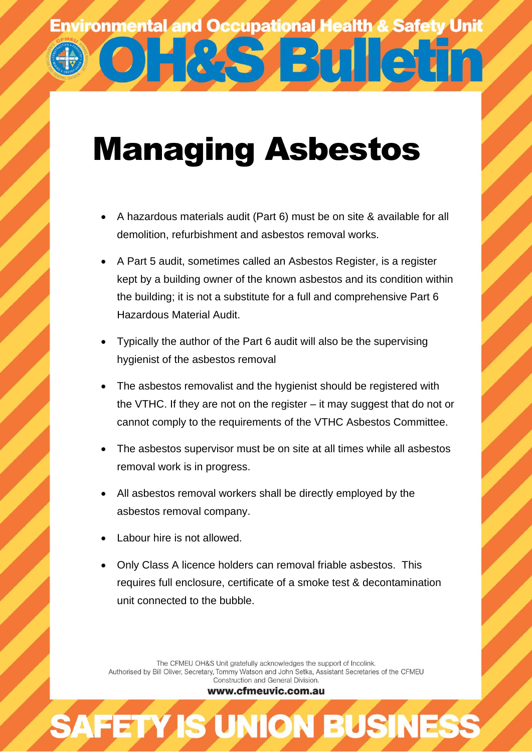**BMG** 

## Managing Asbestos

- A hazardous materials audit (Part 6) must be on site & available for all demolition, refurbishment and asbestos removal works.
- A Part 5 audit, sometimes called an Asbestos Register, is a register kept by a building owner of the known asbestos and its condition within the building; it is not a substitute for a full and comprehensive Part 6 Hazardous Material Audit.
- Typically the author of the Part 6 audit will also be the supervising hygienist of the asbestos removal
- The asbestos removalist and the hygienist should be registered with the VTHC. If they are not on the register – it may suggest that do not or cannot comply to the requirements of the VTHC Asbestos Committee.
- The asbestos supervisor must be on site at all times while all asbestos removal work is in progress.
- All asbestos removal workers shall be directly employed by the asbestos removal company.
- Labour hire is not allowed.
- Only Class A licence holders can removal friable asbestos. This requires full enclosure, certificate of a smoke test & decontamination unit connected to the bubble.

The CFMEU OH&S Unit gratefully acknowledges the support of Incolink. Authorised by Bill Oliver, Secretary, Tommy Watson and John Setka, Assistant Secretaries of the CFMEU Construction and General Division.

www.cfmeuvic.com.au

**AFETY IS UNION BUSINES**